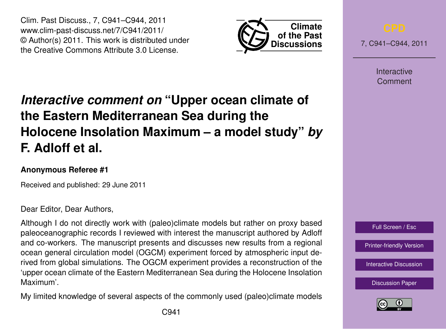Clim. Past Discuss., 7, C941–C944, 2011 www.clim-past-discuss.net/7/C941/2011/ © Author(s) 2011. This work is distributed under the Creative Commons Attribute 3.0 License.



7, C941–C944, 2011

**Interactive** Comment

# *Interactive comment on* **"Upper ocean climate of the Eastern Mediterranean Sea during the Holocene Insolation Maximum – a model study"** *by* **F. Adloff et al.**

# **Anonymous Referee #1**

Received and published: 29 June 2011

## Dear Editor, Dear Authors,

Although I do not directly work with (paleo)climate models but rather on proxy based paleoceanographic records I reviewed with interest the manuscript authored by Adloff and co-workers. The manuscript presents and discusses new results from a regional ocean general circulation model (OGCM) experiment forced by atmospheric input derived from global simulations. The OGCM experiment provides a reconstruction of the 'upper ocean climate of the Eastern Mediterranean Sea during the Holocene Insolation Maximum'.

My limited knowledge of several aspects of the commonly used (paleo)climate models



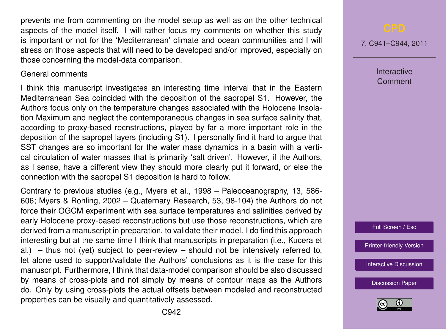prevents me from commenting on the model setup as well as on the other technical aspects of the model itself. I will rather focus my comments on whether this study is important or not for the 'Mediterranean' climate and ocean communities and I will stress on those aspects that will need to be developed and/or improved, especially on those concerning the model-data comparison.

### General comments

I think this manuscript investigates an interesting time interval that in the Eastern Mediterranean Sea coincided with the deposition of the sapropel S1. However, the Authors focus only on the temperature changes associated with the Holocene Insolation Maximum and neglect the contemporaneous changes in sea surface salinity that, according to proxy-based recnstructions, played by far a more important role in the deposition of the sapropel layers (including S1). I personally find it hard to argue that SST changes are so important for the water mass dynamics in a basin with a vertical circulation of water masses that is primarily 'salt driven'. However, if the Authors, as I sense, have a different view they should more clearly put it forward, or else the connection with the sapropel S1 deposition is hard to follow.

Contrary to previous studies (e.g., Myers et al., 1998 – Paleoceanography, 13, 586- 606; Myers & Rohling, 2002 – Quaternary Research, 53, 98-104) the Authors do not force their OGCM experiment with sea surface temperatures and salinities derived by early Holocene proxy-based reconstructions but use those reconstructions, which are derived from a manuscript in preparation, to validate their model. I do find this approach interesting but at the same time I think that manuscripts in preparation (i.e., Kucera et al.) – thus not (yet) subject to peer-review – should not be intensively referred to, let alone used to support/validate the Authors' conclusions as it is the case for this manuscript. Furthermore, I think that data-model comparison should be also discussed by means of cross-plots and not simply by means of contour maps as the Authors do. Only by using cross-plots the actual offsets between modeled and reconstructed properties can be visually and quantitatively assessed.

7, C941–C944, 2011

**Interactive Comment** 

Full Screen / Esc

[Printer-friendly Version](http://www.clim-past-discuss.net/7/C941/2011/cpd-7-C941-2011-print.pdf)

[Interactive Discussion](http://www.clim-past-discuss.net/7/1457/2011/cpd-7-1457-2011-discussion.html)

[Discussion Paper](http://www.clim-past-discuss.net/7/1457/2011/cpd-7-1457-2011.pdf)

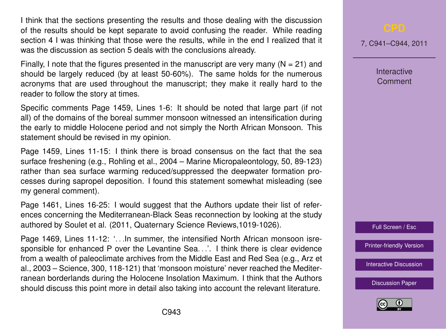I think that the sections presenting the results and those dealing with the discussion of the results should be kept separate to avoid confusing the reader. While reading section 4 I was thinking that those were the results, while in the end I realized that it was the discussion as section 5 deals with the conclusions already.

Finally, I note that the figures presented in the manuscript are very many  $(N = 21)$  and should be largely reduced (by at least 50-60%). The same holds for the numerous acronyms that are used throughout the manuscript; they make it really hard to the reader to follow the story at times.

Specific comments Page 1459, Lines 1-6: It should be noted that large part (if not all) of the domains of the boreal summer monsoon witnessed an intensification during the early to middle Holocene period and not simply the North African Monsoon. This statement should be revised in my opinion.

Page 1459, Lines 11-15: I think there is broad consensus on the fact that the sea surface freshening (e.g., Rohling et al., 2004 – Marine Micropaleontology, 50, 89-123) rather than sea surface warming reduced/suppressed the deepwater formation processes during sapropel deposition. I found this statement somewhat misleading (see my general comment).

Page 1461, Lines 16-25: I would suggest that the Authors update their list of references concerning the Mediterranean-Black Seas reconnection by looking at the study authored by Soulet et al. (2011, Quaternary Science Reviews,1019-1026).

Page 1469, Lines 11-12: '. . .In summer, the intensified North African monsoon isresponsible for enhanced P over the Levantine Sea. .... I think there is clear evidence from a wealth of paleoclimate archives from the Middle East and Red Sea (e.g., Arz et al., 2003 – Science, 300, 118-121) that 'monsoon moisture' never reached the Mediterranean borderlands during the Holocene Insolation Maximum. I think that the Authors should discuss this point more in detail also taking into account the relevant literature.

7, C941–C944, 2011

**Interactive Comment** 



[Printer-friendly Version](http://www.clim-past-discuss.net/7/C941/2011/cpd-7-C941-2011-print.pdf)

[Interactive Discussion](http://www.clim-past-discuss.net/7/1457/2011/cpd-7-1457-2011-discussion.html)

[Discussion Paper](http://www.clim-past-discuss.net/7/1457/2011/cpd-7-1457-2011.pdf)